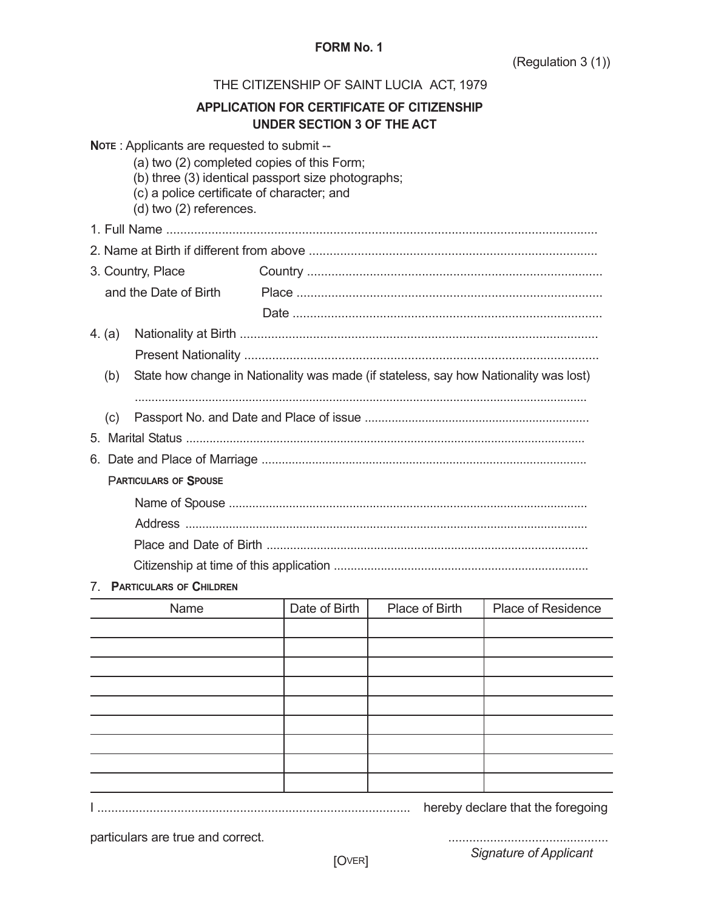### **FORM No. 1**

## THE CITIZENSHIP OF SAINT LUCIA ACT, 1979

# **APPLICATION FOR CERTIFICATE OF CITIZENSHIP UNDER SECTION 3 OF THE ACT**

| NOTE: Applicants are requested to submit --<br>(a) two (2) completed copies of this Form;<br>(b) three (3) identical passport size photographs;<br>(c) a police certificate of character; and<br>(d) two (2) references. |                                                 |  |
|--------------------------------------------------------------------------------------------------------------------------------------------------------------------------------------------------------------------------|-------------------------------------------------|--|
|                                                                                                                                                                                                                          |                                                 |  |
|                                                                                                                                                                                                                          |                                                 |  |
| 3. Country, Place                                                                                                                                                                                                        |                                                 |  |
| and the Date of Birth                                                                                                                                                                                                    |                                                 |  |
|                                                                                                                                                                                                                          |                                                 |  |
| 4. $(a)$                                                                                                                                                                                                                 |                                                 |  |
|                                                                                                                                                                                                                          |                                                 |  |
| State how change in Nationality was made (if stateless, say how Nationality was lost)<br>(b)                                                                                                                             |                                                 |  |
|                                                                                                                                                                                                                          |                                                 |  |
| (c)                                                                                                                                                                                                                      |                                                 |  |
|                                                                                                                                                                                                                          |                                                 |  |
|                                                                                                                                                                                                                          |                                                 |  |
| <b>PARTICULARS OF SPOUSE</b>                                                                                                                                                                                             |                                                 |  |
|                                                                                                                                                                                                                          |                                                 |  |
|                                                                                                                                                                                                                          |                                                 |  |
|                                                                                                                                                                                                                          |                                                 |  |
|                                                                                                                                                                                                                          |                                                 |  |
| <b>PARTICULARS OF CHILDREN</b><br>7                                                                                                                                                                                      |                                                 |  |
| $\mathbf{A}$                                                                                                                                                                                                             | Deta of Disth Disco of Disth Disco of Decidence |  |

| <b>Name</b>                       | Date of Birth | Place of Birth | Place of Residence |  |  |
|-----------------------------------|---------------|----------------|--------------------|--|--|
|                                   |               |                |                    |  |  |
|                                   |               |                |                    |  |  |
|                                   |               |                |                    |  |  |
|                                   |               |                |                    |  |  |
|                                   |               |                |                    |  |  |
|                                   |               |                |                    |  |  |
|                                   |               |                |                    |  |  |
|                                   |               |                |                    |  |  |
|                                   |               |                |                    |  |  |
| hereby declare that the foregoing |               |                |                    |  |  |

particulars are true and correct. The correct of the correct of the correct of the correct of the correct of the correct of the correct of the correct of the correct of the correct of the correct of the correct of the corr

*Signature of Applicant*